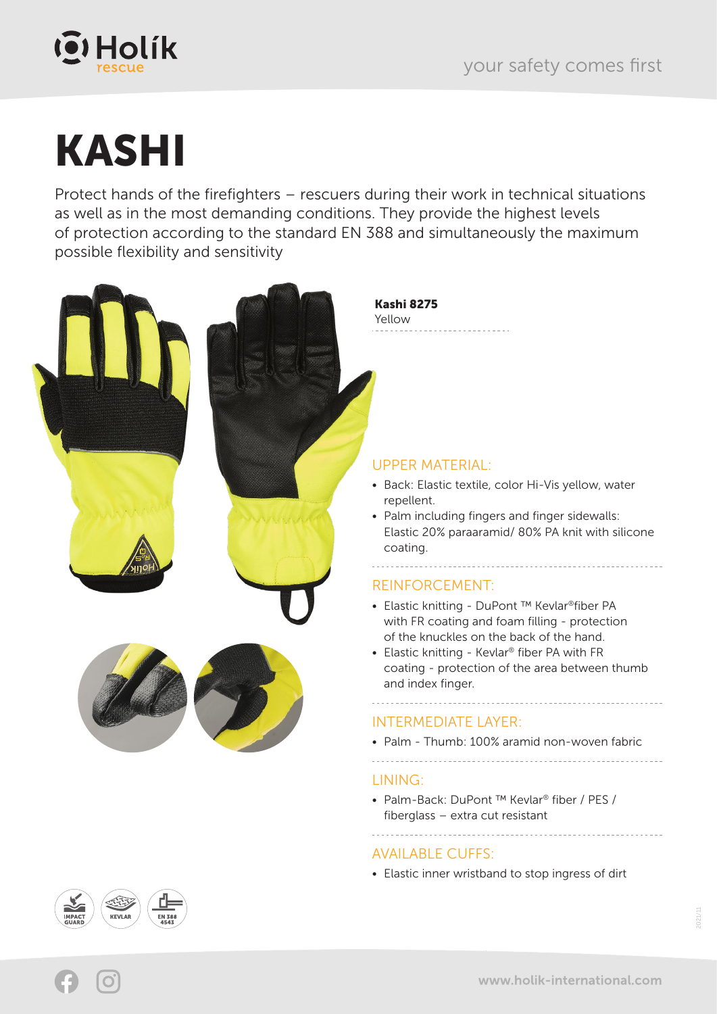

# KASHI

Protect hands of the firefighters – rescuers during their work in technical situations as well as in the most demanding conditions. They provide the highest levels of protection according to the standard EN 388 and simultaneously the maximum possible flexibility and sensitivity